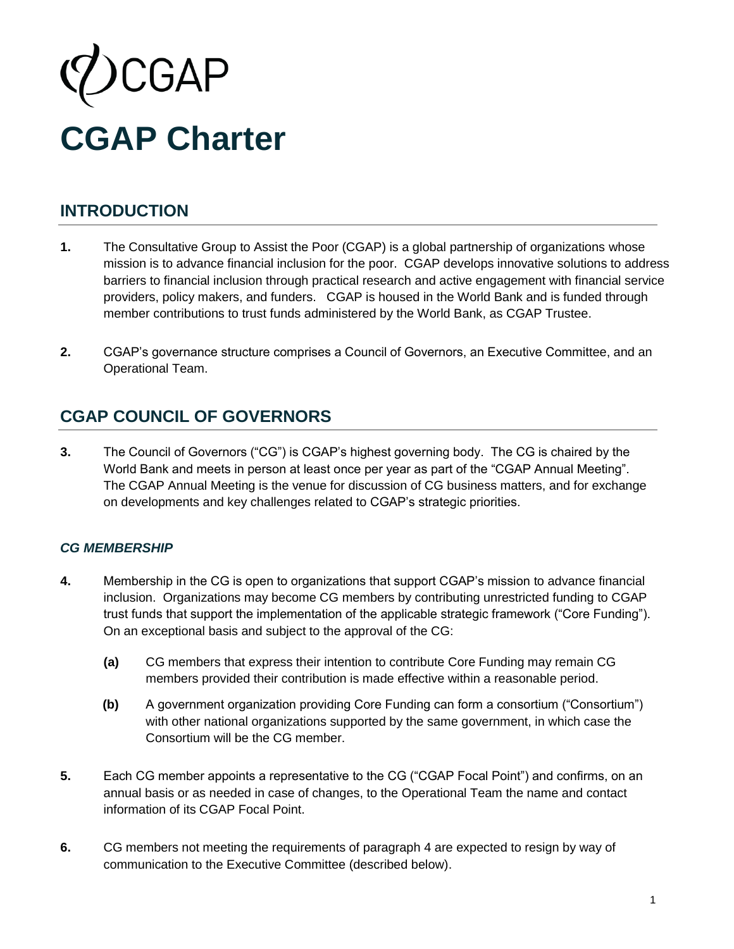

# **INTRODUCTION**

- **1.** The Consultative Group to Assist the Poor (CGAP) is a global partnership of organizations whose mission is to advance financial inclusion for the poor. CGAP develops innovative solutions to address barriers to financial inclusion through practical research and active engagement with financial service providers, policy makers, and funders. CGAP is housed in the World Bank and is funded through member contributions to trust funds administered by the World Bank, as CGAP Trustee.
- **2.** CGAP's governance structure comprises a Council of Governors, an Executive Committee, and an Operational Team.

# **CGAP COUNCIL OF GOVERNORS**

**3.** The Council of Governors ("CG") is CGAP's highest governing body. The CG is chaired by the World Bank and meets in person at least once per year as part of the "CGAP Annual Meeting". The CGAP Annual Meeting is the venue for discussion of CG business matters, and for exchange on developments and key challenges related to CGAP's strategic priorities.

### *CG MEMBERSHIP*

- **4.** Membership in the CG is open to organizations that support CGAP's mission to advance financial inclusion. Organizations may become CG members by contributing unrestricted funding to CGAP trust funds that support the implementation of the applicable strategic framework ("Core Funding"). On an exceptional basis and subject to the approval of the CG:
	- **(a)** CG members that express their intention to contribute Core Funding may remain CG members provided their contribution is made effective within a reasonable period.
	- **(b)** A government organization providing Core Funding can form a consortium ("Consortium") with other national organizations supported by the same government, in which case the Consortium will be the CG member.
- **5.** Each CG member appoints a representative to the CG ("CGAP Focal Point") and confirms, on an annual basis or as needed in case of changes, to the Operational Team the name and contact information of its CGAP Focal Point.
- **6.** CG members not meeting the requirements of paragraph 4 are expected to resign by way of communication to the Executive Committee (described below).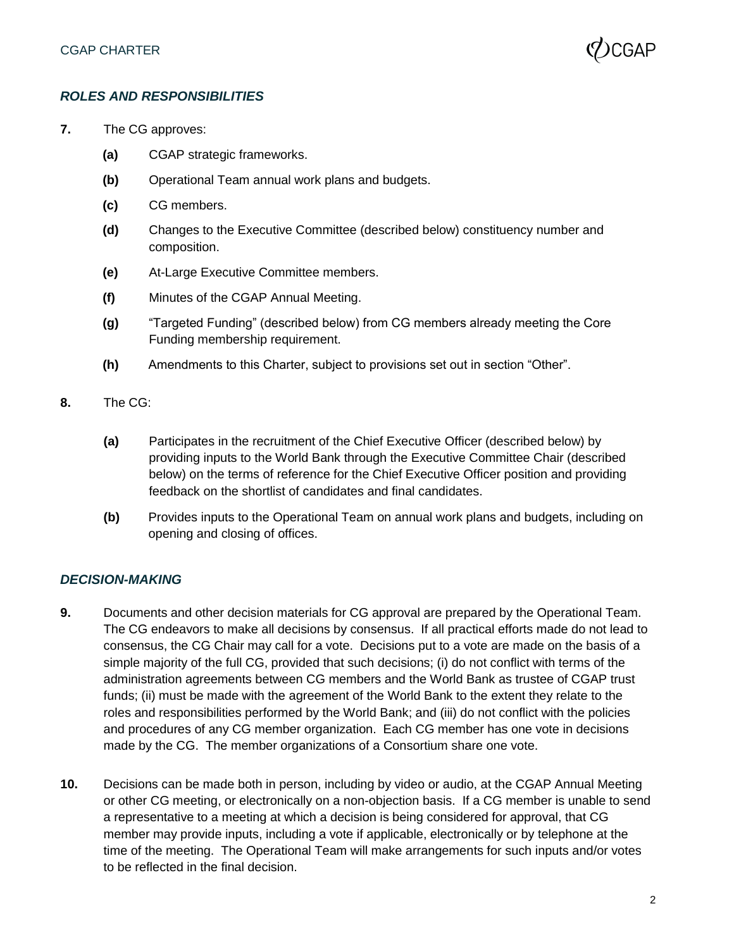

#### *ROLES AND RESPONSIBILITIES*

- **7.** The CG approves:
	- **(a)** CGAP strategic frameworks.
	- **(b)** Operational Team annual work plans and budgets.
	- **(c)** CG members.
	- **(d)** Changes to the Executive Committee (described below) constituency number and composition.
	- **(e)** At-Large Executive Committee members.
	- **(f)** Minutes of the CGAP Annual Meeting.
	- **(g)** "Targeted Funding" (described below) from CG members already meeting the Core Funding membership requirement.
	- **(h)** Amendments to this Charter, subject to provisions set out in section "Other".
- **8.** The CG:
	- **(a)** Participates in the recruitment of the Chief Executive Officer (described below) by providing inputs to the World Bank through the Executive Committee Chair (described below) on the terms of reference for the Chief Executive Officer position and providing feedback on the shortlist of candidates and final candidates.
	- **(b)** Provides inputs to the Operational Team on annual work plans and budgets, including on opening and closing of offices.

#### *DECISION-MAKING*

- **9.** Documents and other decision materials for CG approval are prepared by the Operational Team. The CG endeavors to make all decisions by consensus. If all practical efforts made do not lead to consensus, the CG Chair may call for a vote. Decisions put to a vote are made on the basis of a simple majority of the full CG, provided that such decisions; (i) do not conflict with terms of the administration agreements between CG members and the World Bank as trustee of CGAP trust funds; (ii) must be made with the agreement of the World Bank to the extent they relate to the roles and responsibilities performed by the World Bank; and (iii) do not conflict with the policies and procedures of any CG member organization. Each CG member has one vote in decisions made by the CG. The member organizations of a Consortium share one vote.
- **10.** Decisions can be made both in person, including by video or audio, at the CGAP Annual Meeting or other CG meeting, or electronically on a non-objection basis. If a CG member is unable to send a representative to a meeting at which a decision is being considered for approval, that CG member may provide inputs, including a vote if applicable, electronically or by telephone at the time of the meeting. The Operational Team will make arrangements for such inputs and/or votes to be reflected in the final decision.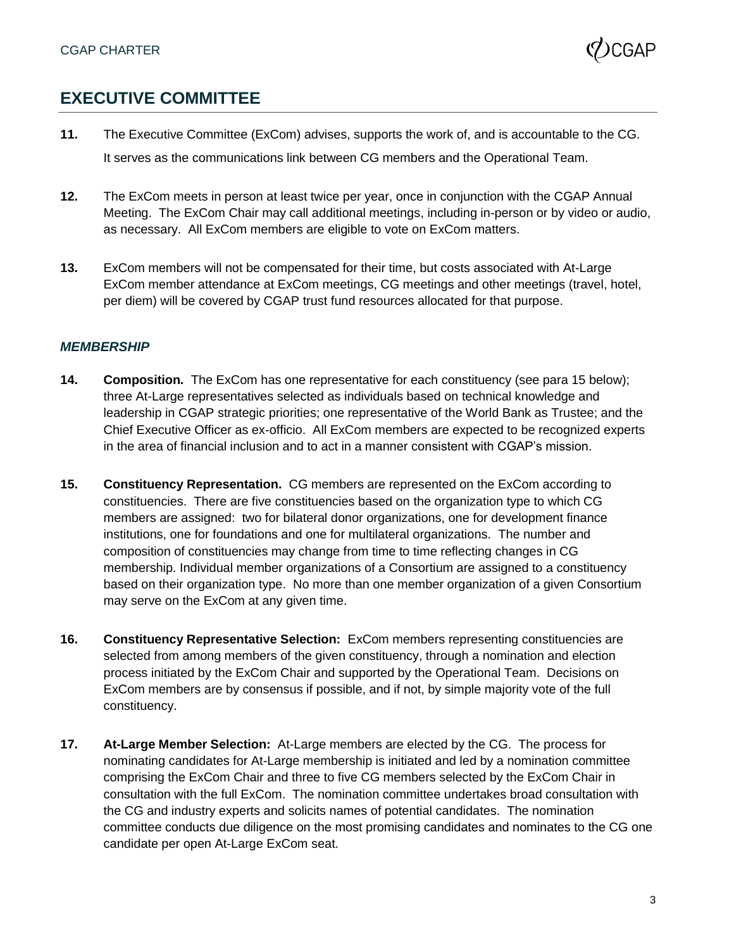

# **EXECUTIVE COMMITTEE**

- **11.** The Executive Committee (ExCom) advises, supports the work of, and is accountable to the CG. It serves as the communications link between CG members and the Operational Team.
- **12.** The ExCom meets in person at least twice per year, once in conjunction with the CGAP Annual Meeting. The ExCom Chair may call additional meetings, including in-person or by video or audio, as necessary. All ExCom members are eligible to vote on ExCom matters.
- **13.** ExCom members will not be compensated for their time, but costs associated with At-Large ExCom member attendance at ExCom meetings, CG meetings and other meetings (travel, hotel, per diem) will be covered by CGAP trust fund resources allocated for that purpose.

#### *MEMBERSHIP*

- **14. Composition***.* The ExCom has one representative for each constituency (see para 15 below); three At-Large representatives selected as individuals based on technical knowledge and leadership in CGAP strategic priorities; one representative of the World Bank as Trustee; and the Chief Executive Officer as ex-officio. All ExCom members are expected to be recognized experts in the area of financial inclusion and to act in a manner consistent with CGAP's mission.
- **15. Constituency Representation.**CG members are represented on the ExCom according to constituencies. There are five constituencies based on the organization type to which CG members are assigned: two for bilateral donor organizations, one for development finance institutions, one for foundations and one for multilateral organizations. The number and composition of constituencies may change from time to time reflecting changes in CG membership. Individual member organizations of a Consortium are assigned to a constituency based on their organization type. No more than one member organization of a given Consortium may serve on the ExCom at any given time.
- **16. Constituency Representative Selection:** ExCom members representing constituencies are selected from among members of the given constituency, through a nomination and election process initiated by the ExCom Chair and supported by the Operational Team. Decisions on ExCom members are by consensus if possible, and if not, by simple majority vote of the full constituency.
- **17. At-Large Member Selection:** At-Large members are elected by the CG. The process for nominating candidates for At-Large membership is initiated and led by a nomination committee comprising the ExCom Chair and three to five CG members selected by the ExCom Chair in consultation with the full ExCom. The nomination committee undertakes broad consultation with the CG and industry experts and solicits names of potential candidates. The nomination committee conducts due diligence on the most promising candidates and nominates to the CG one candidate per open At-Large ExCom seat.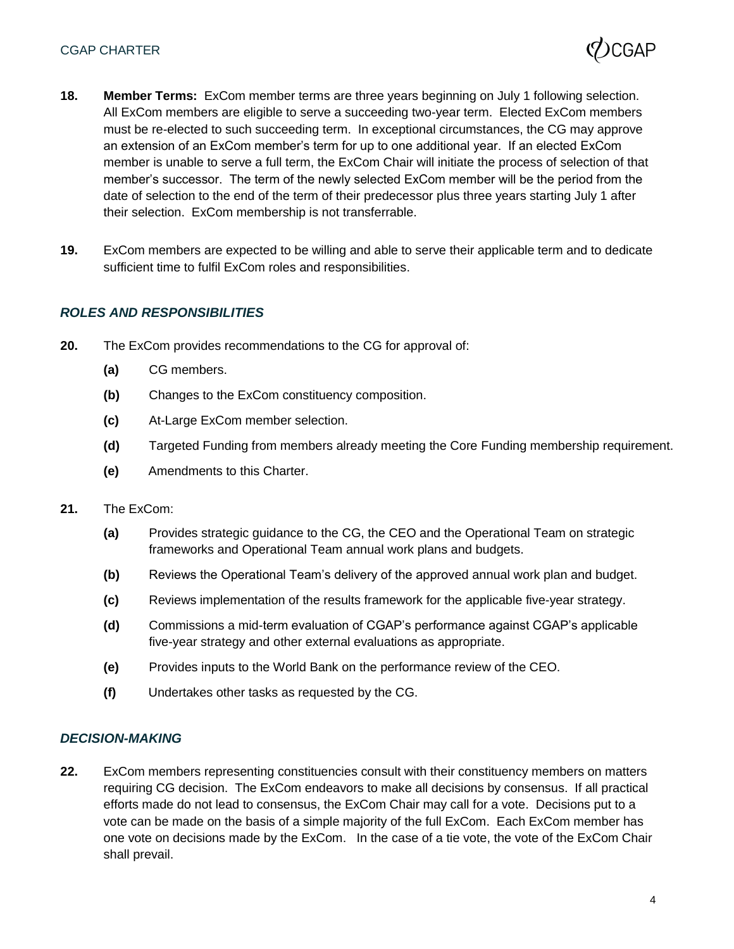

- **18. Member Terms:** ExCom member terms are three years beginning on July 1 following selection. All ExCom members are eligible to serve a succeeding two-year term. Elected ExCom members must be re-elected to such succeeding term. In exceptional circumstances, the CG may approve an extension of an ExCom member's term for up to one additional year. If an elected ExCom member is unable to serve a full term, the ExCom Chair will initiate the process of selection of that member's successor. The term of the newly selected ExCom member will be the period from the date of selection to the end of the term of their predecessor plus three years starting July 1 after their selection. ExCom membership is not transferrable.
- **19.** ExCom members are expected to be willing and able to serve their applicable term and to dedicate sufficient time to fulfil ExCom roles and responsibilities.

### *ROLES AND RESPONSIBILITIES*

- **20.** The ExCom provides recommendations to the CG for approval of:
	- **(a)** CG members.
	- **(b)** Changes to the ExCom constituency composition.
	- **(c)** At-Large ExCom member selection.
	- **(d)** Targeted Funding from members already meeting the Core Funding membership requirement.
	- **(e)** Amendments to this Charter.
- **21.** The ExCom:
	- **(a)** Provides strategic guidance to the CG, the CEO and the Operational Team on strategic frameworks and Operational Team annual work plans and budgets.
	- **(b)** Reviews the Operational Team's delivery of the approved annual work plan and budget.
	- **(c)** Reviews implementation of the results framework for the applicable five-year strategy.
	- **(d)** Commissions a mid-term evaluation of CGAP's performance against CGAP's applicable five-year strategy and other external evaluations as appropriate.
	- **(e)** Provides inputs to the World Bank on the performance review of the CEO.
	- **(f)** Undertakes other tasks as requested by the CG.

#### *DECISION-MAKING*

**22.** ExCom members representing constituencies consult with their constituency members on matters requiring CG decision. The ExCom endeavors to make all decisions by consensus. If all practical efforts made do not lead to consensus, the ExCom Chair may call for a vote. Decisions put to a vote can be made on the basis of a simple majority of the full ExCom. Each ExCom member has one vote on decisions made by the ExCom. In the case of a tie vote, the vote of the ExCom Chair shall prevail.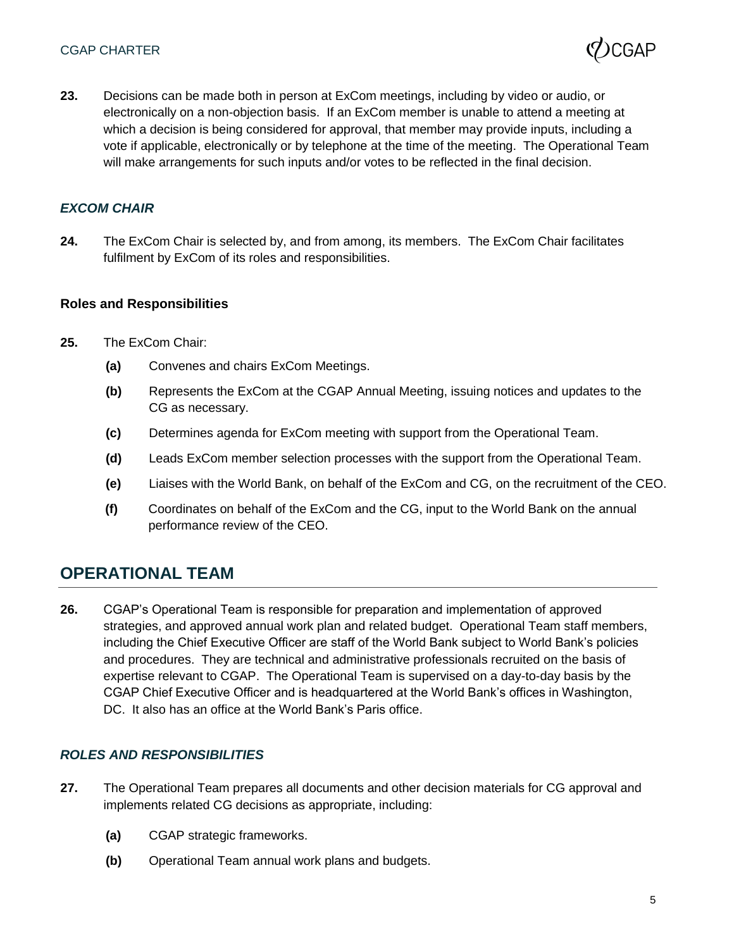

**23.** Decisions can be made both in person at ExCom meetings, including by video or audio, or electronically on a non-objection basis. If an ExCom member is unable to attend a meeting at which a decision is being considered for approval, that member may provide inputs, including a vote if applicable, electronically or by telephone at the time of the meeting. The Operational Team will make arrangements for such inputs and/or votes to be reflected in the final decision.

#### *EXCOM CHAIR*

**24.** The ExCom Chair is selected by, and from among, its members. The ExCom Chair facilitates fulfilment by ExCom of its roles and responsibilities.

#### **Roles and Responsibilities**

- **25.** The ExCom Chair:
	- **(a)** Convenes and chairs ExCom Meetings.
	- **(b)** Represents the ExCom at the CGAP Annual Meeting, issuing notices and updates to the CG as necessary.
	- **(c)** Determines agenda for ExCom meeting with support from the Operational Team.
	- **(d)** Leads ExCom member selection processes with the support from the Operational Team.
	- **(e)** Liaises with the World Bank, on behalf of the ExCom and CG, on the recruitment of the CEO.
	- **(f)** Coordinates on behalf of the ExCom and the CG, input to the World Bank on the annual performance review of the CEO.

### **OPERATIONAL TEAM**

**26.** CGAP's Operational Team is responsible for preparation and implementation of approved strategies, and approved annual work plan and related budget. Operational Team staff members, including the Chief Executive Officer are staff of the World Bank subject to World Bank's policies and procedures. They are technical and administrative professionals recruited on the basis of expertise relevant to CGAP. The Operational Team is supervised on a day-to-day basis by the CGAP Chief Executive Officer and is headquartered at the World Bank's offices in Washington, DC. It also has an office at the World Bank's Paris office.

#### *ROLES AND RESPONSIBILITIES*

- **27.** The Operational Team prepares all documents and other decision materials for CG approval and implements related CG decisions as appropriate, including:
	- **(a)** CGAP strategic frameworks.
	- **(b)** Operational Team annual work plans and budgets.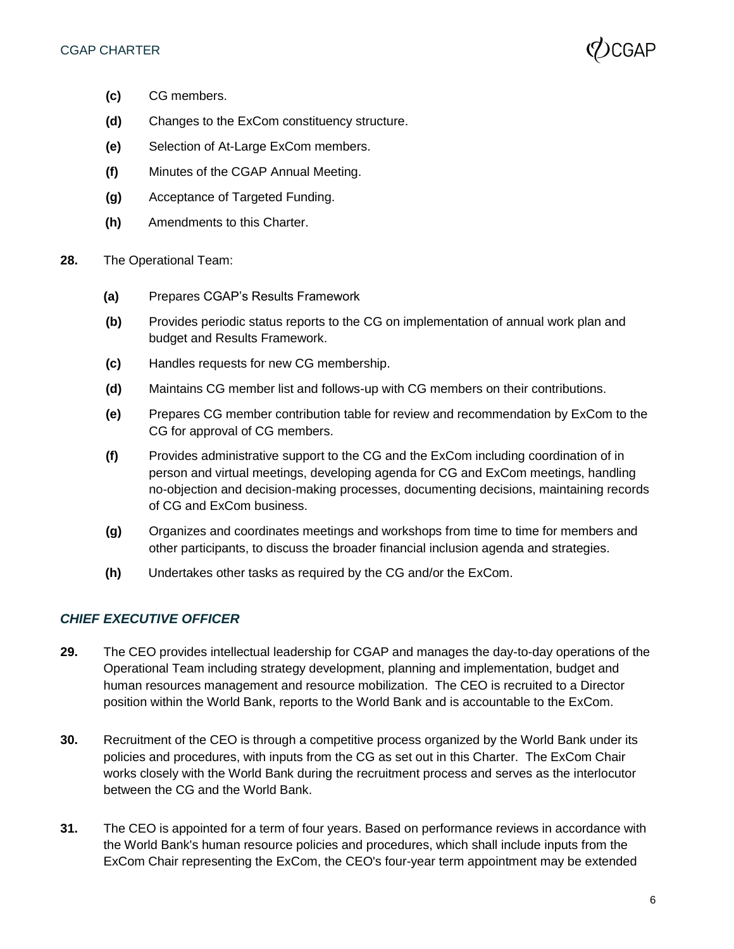

- **(c)** CG members.
- **(d)** Changes to the ExCom constituency structure.
- **(e)** Selection of At-Large ExCom members.
- **(f)** Minutes of the CGAP Annual Meeting.
- **(g)** Acceptance of Targeted Funding.
- **(h)** Amendments to this Charter.
- **28.** The Operational Team:
	- **(a)** Prepares CGAP's Results Framework
	- **(b)** Provides periodic status reports to the CG on implementation of annual work plan and budget and Results Framework.
	- **(c)** Handles requests for new CG membership.
	- **(d)** Maintains CG member list and follows-up with CG members on their contributions.
	- **(e)** Prepares CG member contribution table for review and recommendation by ExCom to the CG for approval of CG members.
	- **(f)** Provides administrative support to the CG and the ExCom including coordination of in person and virtual meetings, developing agenda for CG and ExCom meetings, handling no-objection and decision-making processes, documenting decisions, maintaining records of CG and ExCom business.
	- **(g)** Organizes and coordinates meetings and workshops from time to time for members and other participants, to discuss the broader financial inclusion agenda and strategies.
	- **(h)** Undertakes other tasks as required by the CG and/or the ExCom.

### *CHIEF EXECUTIVE OFFICER*

- **29.** The CEO provides intellectual leadership for CGAP and manages the day-to-day operations of the Operational Team including strategy development, planning and implementation, budget and human resources management and resource mobilization. The CEO is recruited to a Director position within the World Bank, reports to the World Bank and is accountable to the ExCom.
- **30.** Recruitment of the CEO is through a competitive process organized by the World Bank under its policies and procedures, with inputs from the CG as set out in this Charter. The ExCom Chair works closely with the World Bank during the recruitment process and serves as the interlocutor between the CG and the World Bank.
- **31.** The CEO is appointed for a term of four years. Based on performance reviews in accordance with the World Bank's human resource policies and procedures, which shall include inputs from the ExCom Chair representing the ExCom, the CEO's four-year term appointment may be extended